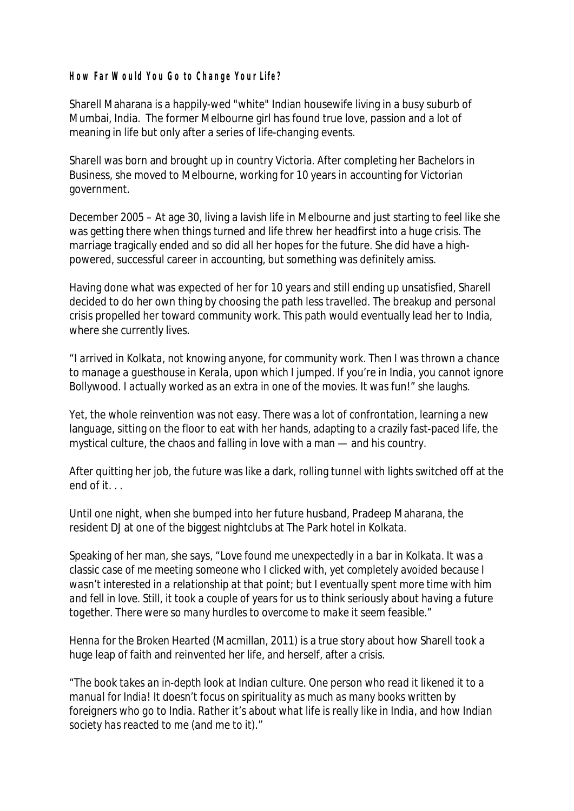**How Far Would You Go to Change Your Life?**

Sharell Maharana is a happily-wed "white" Indian housewife living in a busy suburb of Mumbai, India. The former Melbourne girl has found true love, passion and a lot of meaning in life but only after a series of life-changing events.

Sharell was born and brought up in country Victoria. After completing her Bachelors in Business, she moved to Melbourne, working for 10 years in accounting for Victorian government.

December 2005 – At age 30, living a lavish life in Melbourne and just starting to feel like she was getting *there* when things turned and life threw her headfirst into a huge crisis. The marriage tragically ended and so did all her hopes for the future. She did have a highpowered, successful career in accounting, but something was definitely amiss.

Having done what was expected of her for 10 years and still ending up unsatisfied, Sharell decided to do her own thing by choosing the path less travelled. The breakup and personal crisis propelled her toward community work. This path would eventually lead her to India, where she currently lives.

"*I arrived in Kolkata, not knowing anyone, for community work. Then I was thrown a chance to manage a guesthouse in Kerala, upon which I jumped. If you're in India, you cannot ignore Bollywood. I actually worked as an extra in one of the movies. It was fun*!" she laughs.

Yet, the whole reinvention was not easy. There was a lot of confrontation, learning a new language, sitting on the floor to eat with her hands, adapting to a crazily fast-paced life, the mystical culture, the chaos and falling in love with a man — and his country.

After quitting her job, the future was like a dark, rolling tunnel with lights switched off at the end of it. . .

Until one night, when she bumped into her future husband, Pradeep Maharana, the resident DJ at one of the biggest nightclubs at The Park hotel in Kolkata.

Speaking of her man, she says, "*Love found me unexpectedly in a bar in Kolkata. It was a classic case of me meeting someone who I clicked with, yet completely avoided because I wasn't interested in a relationship at that point; but I eventually spent more time with him and fell in love. Still, it took a couple of years for us to think seriously about having a future together. There were so many hurdles to overcome to make it seem feasible.*"

*Henna for the Broken Hearted* (Macmillan, 2011) is a true story about how Sharell took a huge leap of faith and reinvented her life, and herself, after a crisis.

"*The book takes an in-depth look at Indian culture. One person who read it likened it to a manual for India! It doesn't focus on spirituality as much as many books written by foreigners who go to India. Rather it's about what life is really like in India, and how Indian society has reacted to me (and me to it).*"